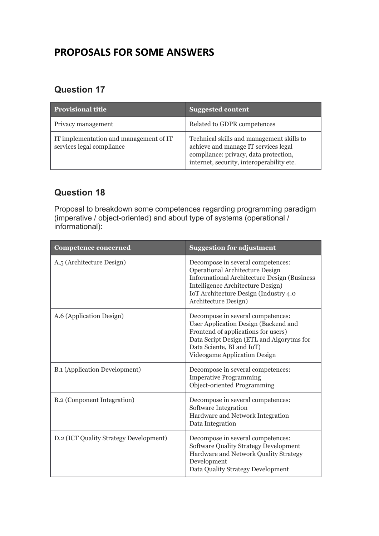# **PROPOSALS FOR SOME ANSWERS**

### **Question 17**

| <b>Provisional title</b>                                            | <b>Suggested content</b>                                                                                                                                                |
|---------------------------------------------------------------------|-------------------------------------------------------------------------------------------------------------------------------------------------------------------------|
| Privacy management                                                  | Related to GDPR competences                                                                                                                                             |
| IT implementation and management of IT<br>services legal compliance | Technical skills and management skills to<br>achieve and manage IT services legal<br>compliance: privacy, data protection,<br>internet, security, interoperability etc. |

#### **Question 18**

Proposal to breakdown some competences regarding programming paradigm (imperative / object-oriented) and about type of systems (operational / informational):

| <b>Competence concerned</b>            | <b>Suggestion for adjustment</b>                                                                                                                                                                                                         |
|----------------------------------------|------------------------------------------------------------------------------------------------------------------------------------------------------------------------------------------------------------------------------------------|
| A.5 (Architecture Design)              | Decompose in several competences:<br><b>Operational Architecture Design</b><br><b>Informational Architecture Design (Business)</b><br>Intelligence Architecture Design)<br>IoT Architecture Design (Industry 4.0<br>Architecture Design) |
| A.6 (Application Design)               | Decompose in several competences:<br>User Application Design (Backend and<br>Frontend of applications for users)<br>Data Script Design (ETL and Algorytms for<br>Data Sciente, BI and IoT)<br>Videogame Application Design               |
| <b>B.1 (Application Development)</b>   | Decompose in several competences:<br><b>Imperative Programming</b><br>Object-oriented Programming                                                                                                                                        |
| B.2 (Conponent Integration)            | Decompose in several competences:<br>Software Integration<br>Hardware and Network Integration<br>Data Integration                                                                                                                        |
| D.2 (ICT Quality Strategy Development) | Decompose in several competences:<br><b>Software Quality Strategy Development</b><br>Hardware and Network Quality Strategy<br>Development<br>Data Quality Strategy Development                                                           |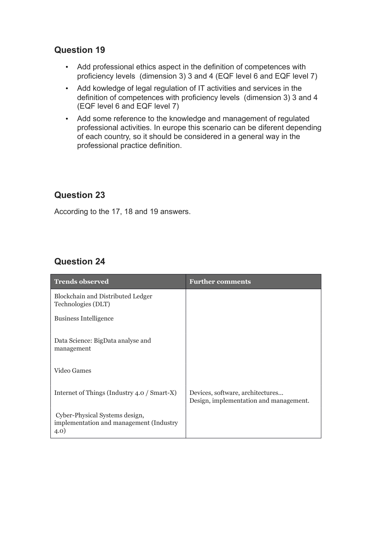#### **Question 19**

- Add professional ethics aspect in the definition of competences with proficiency levels (dimension 3) 3 and 4 (EQF level 6 and EQF level 7)
- Add kowledge of legal regulation of IT activities and services in the definition of competences with proficiency levels (dimension 3) 3 and 4 (EQF level 6 and EQF level 7)
- Add some reference to the knowledge and management of regulated professional activities. In europe this scenario can be diferent depending of each country, so it should be considered in a general way in the professional practice definition.

#### **Question 23**

According to the 17, 18 and 19 answers.

#### **Question 24**

| <b>Trends observed</b>                                                            | <b>Further comments</b>                                                    |
|-----------------------------------------------------------------------------------|----------------------------------------------------------------------------|
| Blockchain and Distributed Ledger<br>Technologies (DLT)                           |                                                                            |
| <b>Business Intelligence</b>                                                      |                                                                            |
| Data Science: BigData analyse and<br>management                                   |                                                                            |
| Video Games                                                                       |                                                                            |
| Internet of Things (Industry 4.0 / Smart-X)                                       | Devices, software, architectures<br>Design, implementation and management. |
| Cyber-Physical Systems design,<br>implementation and management (Industry<br>4.0) |                                                                            |